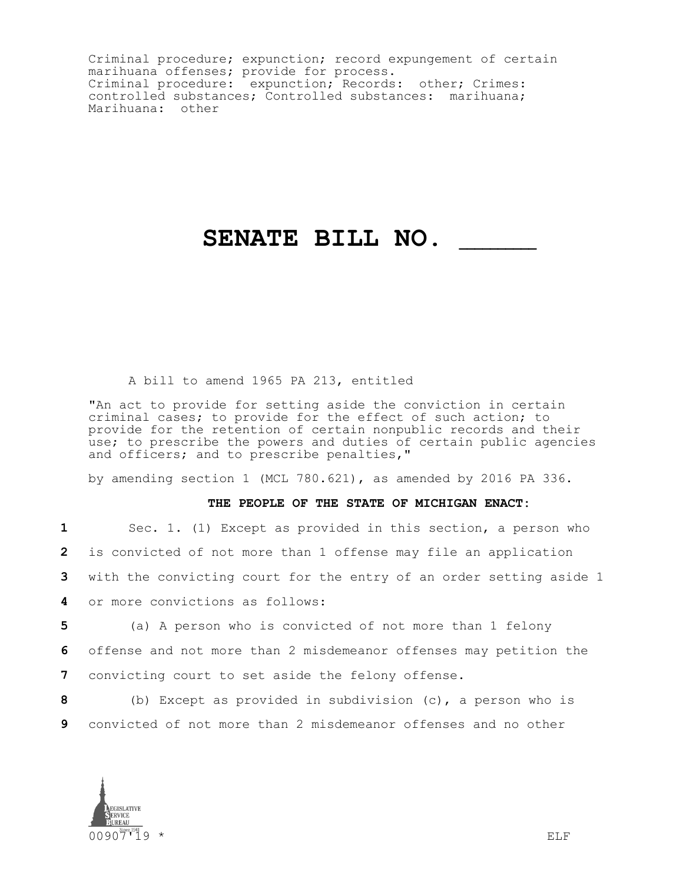Criminal procedure; expunction; record expungement of certain marihuana offenses; provide for process. Criminal procedure: expunction; Records: other; Crimes: controlled substances; Controlled substances: marihuana; Marihuana: other

## **SENATE BILL NO. \_\_\_\_\_\_\_\_\_\_**

## A bill to amend 1965 PA 213, entitled

"An act to provide for setting aside the conviction in certain criminal cases; to provide for the effect of such action; to provide for the retention of certain nonpublic records and their use; to prescribe the powers and duties of certain public agencies and officers; and to prescribe penalties,"

by amending section 1 (MCL 780.621), as amended by 2016 PA 336.

## **THE PEOPLE OF THE STATE OF MICHIGAN ENACT:**

| Sec. 1. (1) Except as provided in this section, a person who<br>$\mathbf{1}$ and $\mathbf{1}$ and $\mathbf{1}$ and $\mathbf{1}$ and $\mathbf{1}$ and $\mathbf{1}$ and $\mathbf{1}$ and $\mathbf{1}$ and $\mathbf{1}$ and $\mathbf{1}$ and $\mathbf{1}$ and $\mathbf{1}$ and $\mathbf{1}$ and $\mathbf{1}$ and $\mathbf{1}$ and $\mathbf{1}$ and $\mathbf{1}$ and |
|------------------------------------------------------------------------------------------------------------------------------------------------------------------------------------------------------------------------------------------------------------------------------------------------------------------------------------------------------------------|
| 2 is convicted of not more than 1 offense may file an application                                                                                                                                                                                                                                                                                                |
| 3 with the convicting court for the entry of an order setting aside 1                                                                                                                                                                                                                                                                                            |
| 4 or more convictions as follows:                                                                                                                                                                                                                                                                                                                                |

**5** (a) A person who is convicted of not more than 1 felony **6** offense and not more than 2 misdemeanor offenses may petition the **7** convicting court to set aside the felony offense.

**8** (b) Except as provided in subdivision (c), a person who is **9** convicted of not more than 2 misdemeanor offenses and no other

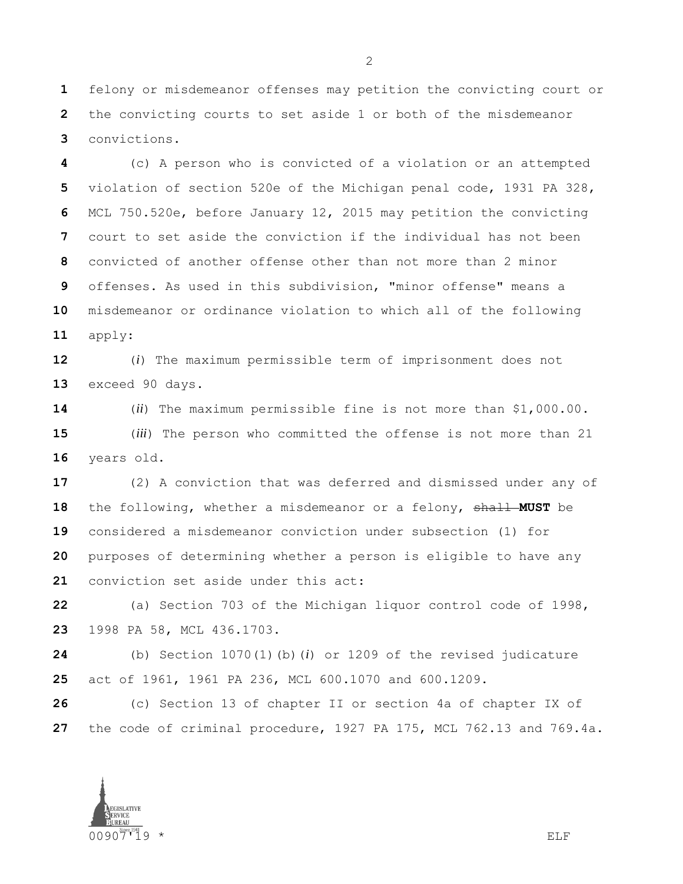felony or misdemeanor offenses may petition the convicting court or the convicting courts to set aside 1 or both of the misdemeanor convictions.

 (c) A person who is convicted of a violation or an attempted violation of section 520e of the Michigan penal code, 1931 PA 328, MCL 750.520e, before January 12, 2015 may petition the convicting court to set aside the conviction if the individual has not been convicted of another offense other than not more than 2 minor offenses. As used in this subdivision, "minor offense" means a misdemeanor or ordinance violation to which all of the following apply:

 (*i*) The maximum permissible term of imprisonment does not exceed 90 days.

 (*ii*) The maximum permissible fine is not more than \$1,000.00. (*iii*) The person who committed the offense is not more than 21 years old.

 (2) A conviction that was deferred and dismissed under any of the following, whether a misdemeanor or a felony, shall **MUST** be considered a misdemeanor conviction under subsection (1) for purposes of determining whether a person is eligible to have any conviction set aside under this act:

 (a) Section 703 of the Michigan liquor control code of 1998, 1998 PA 58, MCL 436.1703.

 (b) Section 1070(1)(b)(*i*) or 1209 of the revised judicature act of 1961, 1961 PA 236, MCL 600.1070 and 600.1209.

 (c) Section 13 of chapter II or section 4a of chapter IX of the code of criminal procedure, 1927 PA 175, MCL 762.13 and 769.4a.

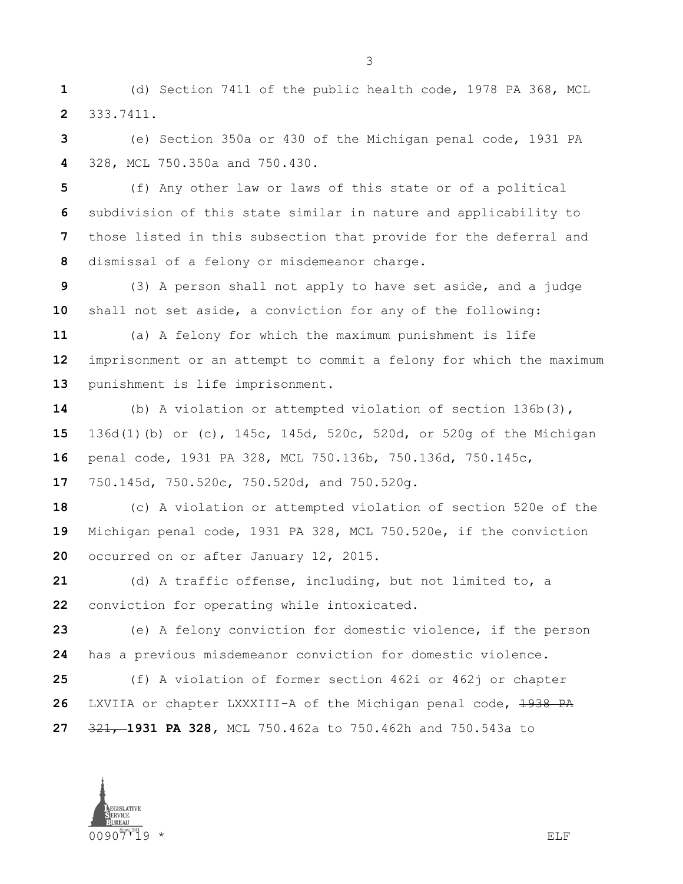(d) Section 7411 of the public health code, 1978 PA 368, MCL 333.7411.

 (e) Section 350a or 430 of the Michigan penal code, 1931 PA 328, MCL 750.350a and 750.430.

 (f) Any other law or laws of this state or of a political subdivision of this state similar in nature and applicability to those listed in this subsection that provide for the deferral and dismissal of a felony or misdemeanor charge.

 (3) A person shall not apply to have set aside, and a judge shall not set aside, a conviction for any of the following:

 (a) A felony for which the maximum punishment is life imprisonment or an attempt to commit a felony for which the maximum punishment is life imprisonment.

 (b) A violation or attempted violation of section 136b(3), 136d(1)(b) or (c), 145c, 145d, 520c, 520d, or 520g of the Michigan penal code, 1931 PA 328, MCL 750.136b, 750.136d, 750.145c, 750.145d, 750.520c, 750.520d, and 750.520g.

 (c) A violation or attempted violation of section 520e of the Michigan penal code, 1931 PA 328, MCL 750.520e, if the conviction occurred on or after January 12, 2015.

 (d) A traffic offense, including, but not limited to, a conviction for operating while intoxicated.

 (e) A felony conviction for domestic violence, if the person has a previous misdemeanor conviction for domestic violence.

 (f) A violation of former section 462i or 462j or chapter LXVIIA or chapter LXXXIII-A of the Michigan penal code, 1938 PA 321, **1931 PA 328,** MCL 750.462a to 750.462h and 750.543a to

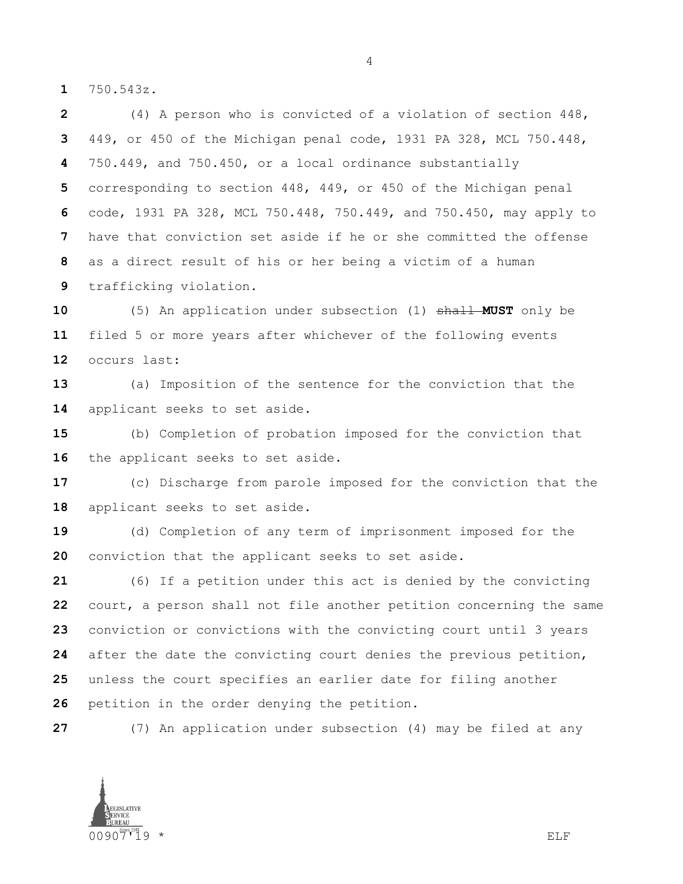750.543z.

 (4) A person who is convicted of a violation of section 448, 449, or 450 of the Michigan penal code, 1931 PA 328, MCL 750.448, 750.449, and 750.450, or a local ordinance substantially corresponding to section 448, 449, or 450 of the Michigan penal code, 1931 PA 328, MCL 750.448, 750.449, and 750.450, may apply to have that conviction set aside if he or she committed the offense as a direct result of his or her being a victim of a human trafficking violation.

 (5) An application under subsection (1) shall **MUST** only be filed 5 or more years after whichever of the following events occurs last:

 (a) Imposition of the sentence for the conviction that the applicant seeks to set aside.

 (b) Completion of probation imposed for the conviction that 16 the applicant seeks to set aside.

 (c) Discharge from parole imposed for the conviction that the applicant seeks to set aside.

 (d) Completion of any term of imprisonment imposed for the conviction that the applicant seeks to set aside.

 (6) If a petition under this act is denied by the convicting court, a person shall not file another petition concerning the same conviction or convictions with the convicting court until 3 years after the date the convicting court denies the previous petition, unless the court specifies an earlier date for filing another petition in the order denying the petition.

(7) An application under subsection (4) may be filed at any

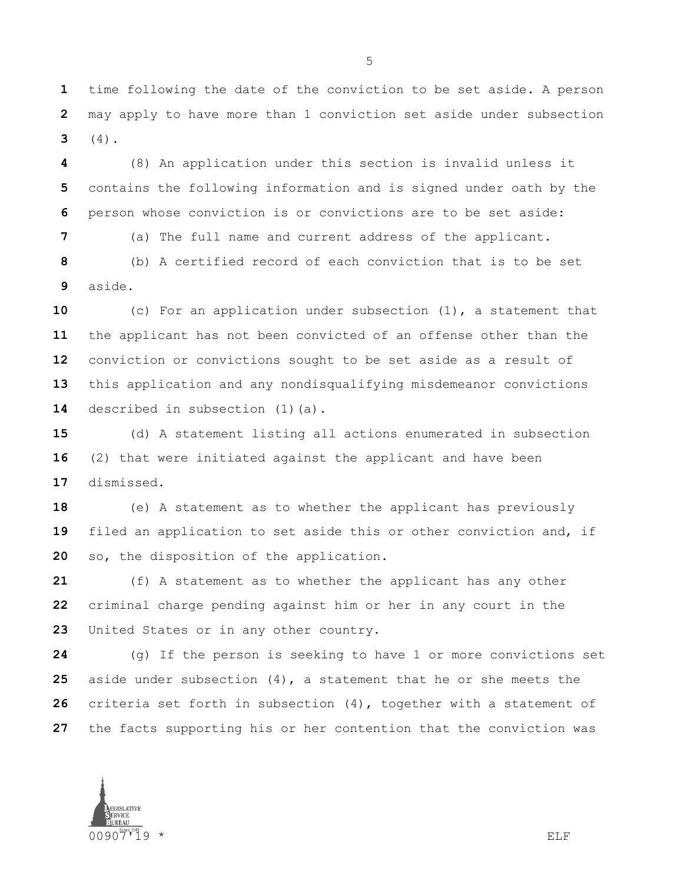time following the date of the conviction to be set aside. A person may apply to have more than 1 conviction set aside under subsection (4).

 (8) An application under this section is invalid unless it contains the following information and is signed under oath by the person whose conviction is or convictions are to be set aside:

(a) The full name and current address of the applicant.

 (b) A certified record of each conviction that is to be set aside.

 (c) For an application under subsection (1), a statement that the applicant has not been convicted of an offense other than the conviction or convictions sought to be set aside as a result of this application and any nondisqualifying misdemeanor convictions 14 described in subsection (1)(a).

 (d) A statement listing all actions enumerated in subsection (2) that were initiated against the applicant and have been dismissed.

 (e) A statement as to whether the applicant has previously filed an application to set aside this or other conviction and, if so, the disposition of the application.

 (f) A statement as to whether the applicant has any other criminal charge pending against him or her in any court in the United States or in any other country.

 (g) If the person is seeking to have 1 or more convictions set aside under subsection (4), a statement that he or she meets the criteria set forth in subsection (4), together with a statement of the facts supporting his or her contention that the conviction was

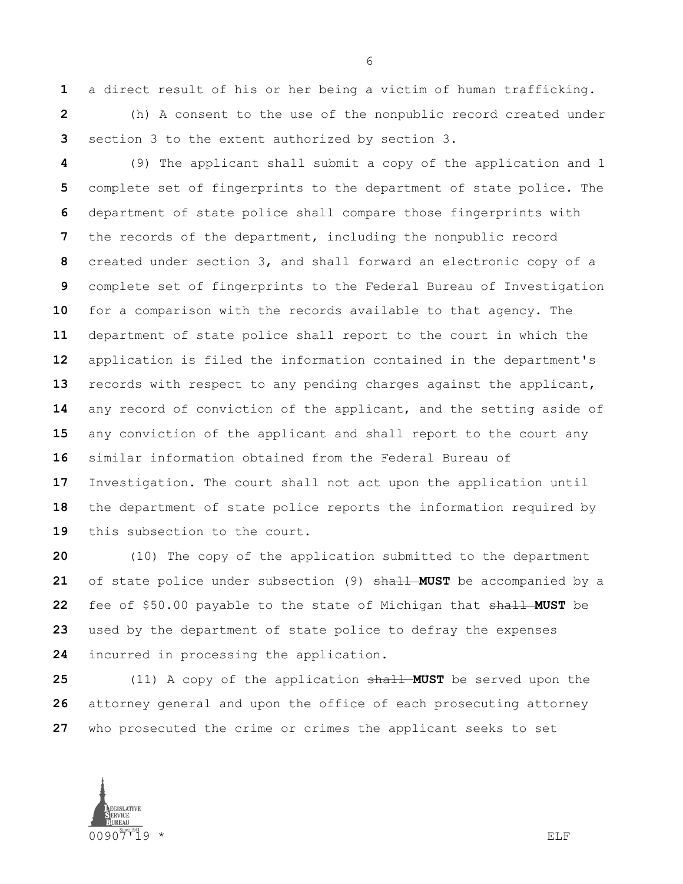a direct result of his or her being a victim of human trafficking.

 (h) A consent to the use of the nonpublic record created under section 3 to the extent authorized by section 3.

 (9) The applicant shall submit a copy of the application and 1 complete set of fingerprints to the department of state police. The department of state police shall compare those fingerprints with the records of the department, including the nonpublic record created under section 3, and shall forward an electronic copy of a complete set of fingerprints to the Federal Bureau of Investigation for a comparison with the records available to that agency. The department of state police shall report to the court in which the application is filed the information contained in the department's records with respect to any pending charges against the applicant, any record of conviction of the applicant, and the setting aside of any conviction of the applicant and shall report to the court any similar information obtained from the Federal Bureau of Investigation. The court shall not act upon the application until the department of state police reports the information required by this subsection to the court.

 (10) The copy of the application submitted to the department of state police under subsection (9) shall **MUST** be accompanied by a fee of \$50.00 payable to the state of Michigan that shall **MUST** be used by the department of state police to defray the expenses incurred in processing the application.

 (11) A copy of the application shall **MUST** be served upon the attorney general and upon the office of each prosecuting attorney who prosecuted the crime or crimes the applicant seeks to set

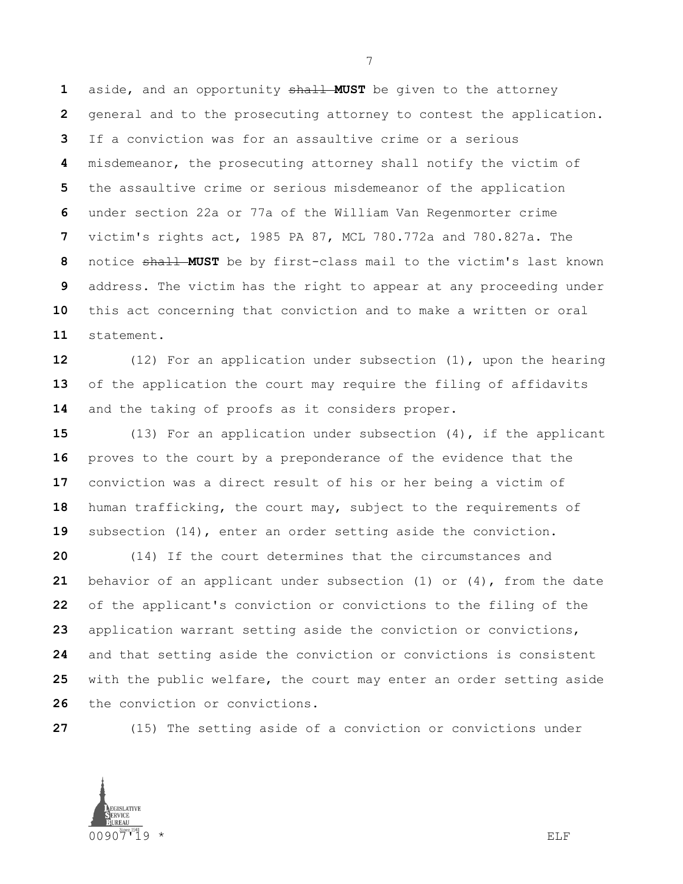aside, and an opportunity shall **MUST** be given to the attorney general and to the prosecuting attorney to contest the application. If a conviction was for an assaultive crime or a serious misdemeanor, the prosecuting attorney shall notify the victim of the assaultive crime or serious misdemeanor of the application under section 22a or 77a of the William Van Regenmorter crime victim's rights act, 1985 PA 87, MCL 780.772a and 780.827a. The 8 notice shall MUST be by first-class mail to the victim's last known address. The victim has the right to appear at any proceeding under this act concerning that conviction and to make a written or oral statement.

 (12) For an application under subsection (1), upon the hearing of the application the court may require the filing of affidavits and the taking of proofs as it considers proper.

 (13) For an application under subsection (4), if the applicant proves to the court by a preponderance of the evidence that the conviction was a direct result of his or her being a victim of human trafficking, the court may, subject to the requirements of subsection (14), enter an order setting aside the conviction.

 (14) If the court determines that the circumstances and behavior of an applicant under subsection (1) or (4), from the date of the applicant's conviction or convictions to the filing of the application warrant setting aside the conviction or convictions, and that setting aside the conviction or convictions is consistent with the public welfare, the court may enter an order setting aside the conviction or convictions.

(15) The setting aside of a conviction or convictions under

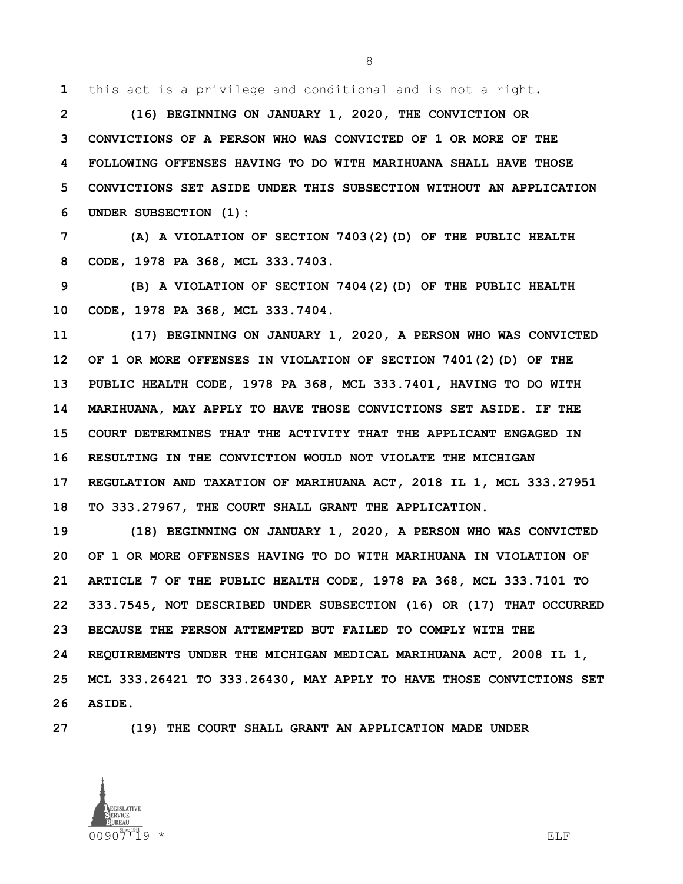this act is a privilege and conditional and is not a right.

 **(16) BEGINNING ON JANUARY 1, 2020, THE CONVICTION OR CONVICTIONS OF A PERSON WHO WAS CONVICTED OF 1 OR MORE OF THE FOLLOWING OFFENSES HAVING TO DO WITH MARIHUANA SHALL HAVE THOSE CONVICTIONS SET ASIDE UNDER THIS SUBSECTION WITHOUT AN APPLICATION UNDER SUBSECTION (1):** 

 **(A) A VIOLATION OF SECTION 7403(2)(D) OF THE PUBLIC HEALTH CODE, 1978 PA 368, MCL 333.7403.**

 **(B) A VIOLATION OF SECTION 7404(2)(D) OF THE PUBLIC HEALTH CODE, 1978 PA 368, MCL 333.7404.**

 **(17) BEGINNING ON JANUARY 1, 2020, A PERSON WHO WAS CONVICTED OF 1 OR MORE OFFENSES IN VIOLATION OF SECTION 7401(2)(D) OF THE PUBLIC HEALTH CODE, 1978 PA 368, MCL 333.7401, HAVING TO DO WITH MARIHUANA, MAY APPLY TO HAVE THOSE CONVICTIONS SET ASIDE. IF THE COURT DETERMINES THAT THE ACTIVITY THAT THE APPLICANT ENGAGED IN RESULTING IN THE CONVICTION WOULD NOT VIOLATE THE MICHIGAN REGULATION AND TAXATION OF MARIHUANA ACT, 2018 IL 1, MCL 333.27951 TO 333.27967, THE COURT SHALL GRANT THE APPLICATION.**

 **(18) BEGINNING ON JANUARY 1, 2020, A PERSON WHO WAS CONVICTED OF 1 OR MORE OFFENSES HAVING TO DO WITH MARIHUANA IN VIOLATION OF ARTICLE 7 OF THE PUBLIC HEALTH CODE, 1978 PA 368, MCL 333.7101 TO 333.7545, NOT DESCRIBED UNDER SUBSECTION (16) OR (17) THAT OCCURRED BECAUSE THE PERSON ATTEMPTED BUT FAILED TO COMPLY WITH THE REQUIREMENTS UNDER THE MICHIGAN MEDICAL MARIHUANA ACT, 2008 IL 1, MCL 333.26421 TO 333.26430, MAY APPLY TO HAVE THOSE CONVICTIONS SET ASIDE.**

**(19) THE COURT SHALL GRANT AN APPLICATION MADE UNDER** 

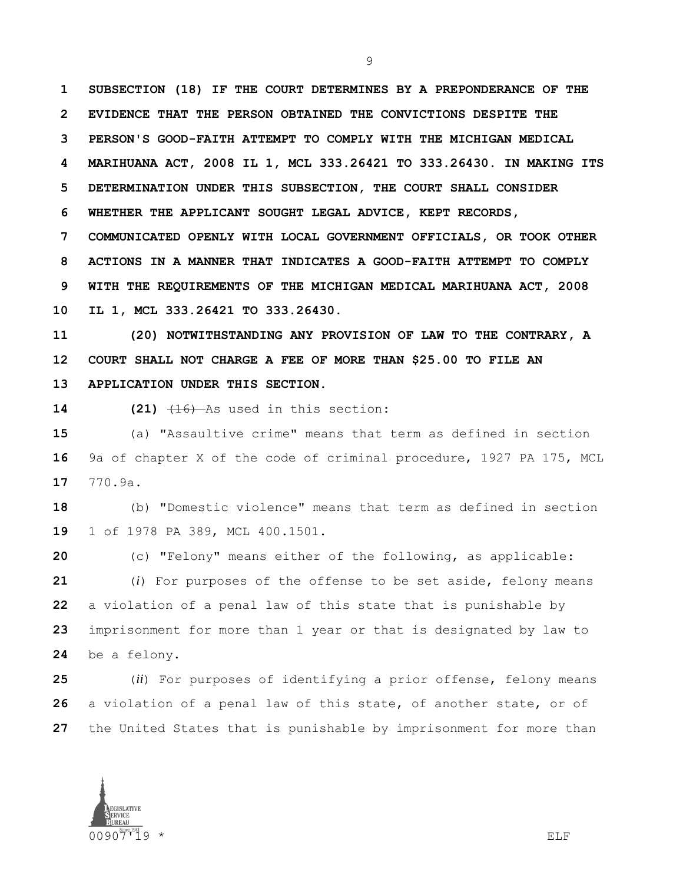**SUBSECTION (18) IF THE COURT DETERMINES BY A PREPONDERANCE OF THE EVIDENCE THAT THE PERSON OBTAINED THE CONVICTIONS DESPITE THE PERSON'S GOOD-FAITH ATTEMPT TO COMPLY WITH THE MICHIGAN MEDICAL MARIHUANA ACT, 2008 IL 1, MCL 333.26421 TO 333.26430. IN MAKING ITS DETERMINATION UNDER THIS SUBSECTION, THE COURT SHALL CONSIDER WHETHER THE APPLICANT SOUGHT LEGAL ADVICE, KEPT RECORDS, COMMUNICATED OPENLY WITH LOCAL GOVERNMENT OFFICIALS, OR TOOK OTHER ACTIONS IN A MANNER THAT INDICATES A GOOD-FAITH ATTEMPT TO COMPLY WITH THE REQUIREMENTS OF THE MICHIGAN MEDICAL MARIHUANA ACT, 2008** 

**IL 1, MCL 333.26421 TO 333.26430.**

 **(20) NOTWITHSTANDING ANY PROVISION OF LAW TO THE CONTRARY, A COURT SHALL NOT CHARGE A FEE OF MORE THAN \$25.00 TO FILE AN APPLICATION UNDER THIS SECTION.**

**14 (21)**  $\frac{16}{16}$  As used in this section:

 (a) "Assaultive crime" means that term as defined in section 9a of chapter X of the code of criminal procedure, 1927 PA 175, MCL 770.9a.

 (b) "Domestic violence" means that term as defined in section 1 of 1978 PA 389, MCL 400.1501.

 (c) "Felony" means either of the following, as applicable: (*i*) For purposes of the offense to be set aside, felony means a violation of a penal law of this state that is punishable by imprisonment for more than 1 year or that is designated by law to be a felony.

 (*ii*) For purposes of identifying a prior offense, felony means a violation of a penal law of this state, of another state, or of the United States that is punishable by imprisonment for more than

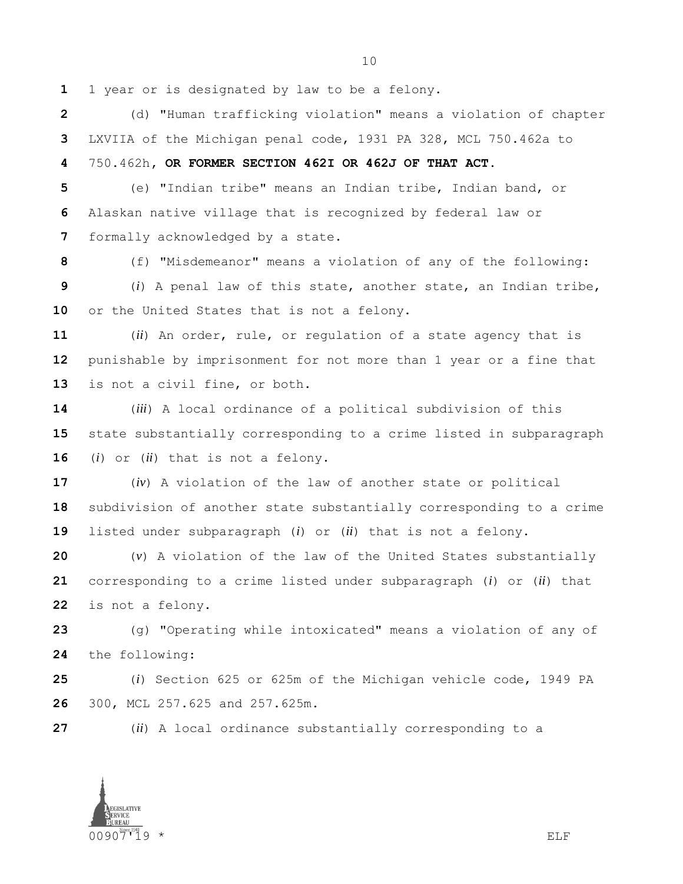1 year or is designated by law to be a felony.

 (d) "Human trafficking violation" means a violation of chapter LXVIIA of the Michigan penal code, 1931 PA 328, MCL 750.462a to

750.462h**, OR FORMER SECTION 462I OR 462J OF THAT ACT**.

 (e) "Indian tribe" means an Indian tribe, Indian band, or Alaskan native village that is recognized by federal law or formally acknowledged by a state.

(f) "Misdemeanor" means a violation of any of the following:

 (*i*) A penal law of this state, another state, an Indian tribe, or the United States that is not a felony.

 (*ii*) An order, rule, or regulation of a state agency that is punishable by imprisonment for not more than 1 year or a fine that is not a civil fine, or both.

 (*iii*) A local ordinance of a political subdivision of this state substantially corresponding to a crime listed in subparagraph (*i*) or (*ii*) that is not a felony.

 (*iv*) A violation of the law of another state or political subdivision of another state substantially corresponding to a crime listed under subparagraph (*i*) or (*ii*) that is not a felony.

 (*v*) A violation of the law of the United States substantially corresponding to a crime listed under subparagraph (*i*) or (*ii*) that is not a felony.

 (g) "Operating while intoxicated" means a violation of any of the following:

 (*i*) Section 625 or 625m of the Michigan vehicle code, 1949 PA 300, MCL 257.625 and 257.625m.

(*ii*) A local ordinance substantially corresponding to a